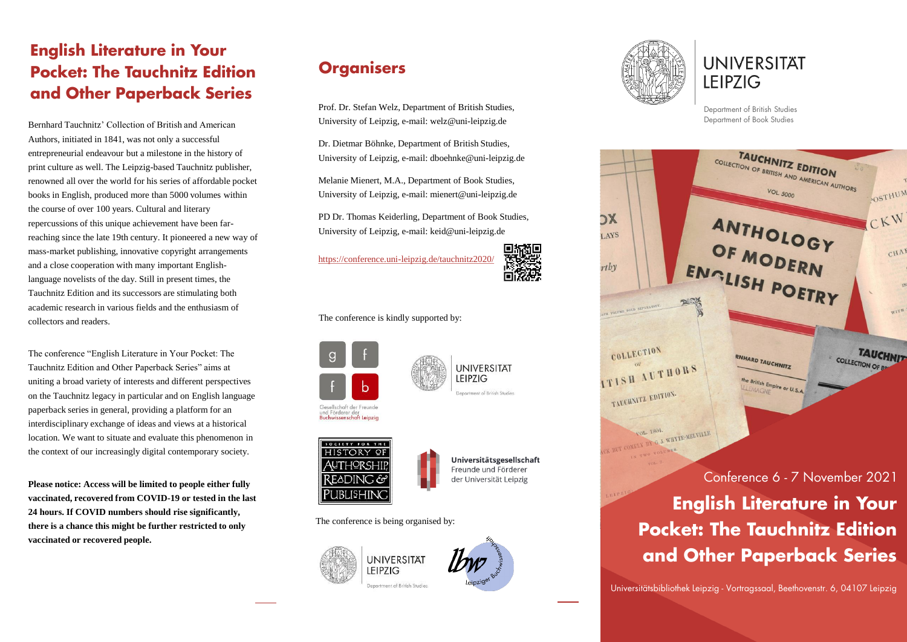## **English Literature in Your Pocket: The Tauchnitz Edition and Other Paperback Series**

Bernhard Tauchnitz' Collection of British and American Authors, initiated in 1841, was not only a successful entrepreneurial endeavour but a milestone in the history of print culture as well. The Leipzig-based Tauchnitz publisher, renowned all over the world for his series of affordable pocket books in English, produced more than 5000 volumes within the course of over 100 years. Cultural and literary repercussions of this unique achievement have been farreaching since the late 19th century. It pioneered a new way of mass-market publishing, innovative copyright arrangements and a close cooperation with many important Englishlanguage novelists of the day. Still in present times, the Tauchnitz Edition and its successors are stimulating both academic research in various fields and the enthusiasm of collectors and readers.

The conference "English Literature in Your Pocket: The Tauchnitz Edition and Other Paperback Series" aims at uniting a broad variety of interests and different perspectives on the Tauchnitz legacy in particular and on English language paperback series in general, providing a platform for an interdisciplinary exchange of ideas and views at a historical location. We want to situate and evaluate this phenomenon in the context of our increasingly digital contemporary society.

**Please notice: Access will be limited to people either fully vaccinated, recovered from COVID-19 or tested in the last 24 hours. If COVID numbers should rise significantly, there is a chance this might be further restricted to only vaccinated or recovered people.**

## **Organisers**

Prof. Dr. Stefan Welz, Department of British Studies, University of Leipzig, e-mail: welz@uni-leipzig.de

Dr. Dietmar Böhnke, Department of British Studies, University of Leipzig, e-mail: dboehnke@uni-leipzig.de

Melanie Mienert, M.A., Department of Book Studies, University of Leipzig, e-mail: mienert@uni-leipzig.de

PD Dr. Thomas Keiderling, Department of Book Studies, University of Leipzig, e-mail: keid@uni-leipzig.de

<https://conference.uni-leipzig.de/tauchnitz2020/>



The conference is kindly supported by:











Universitätsgesellschaft Freunde und Förderer der Universität Leipzig

The conference is being organised by:







**UNIVERSITÄT LEIPZIG** 

Department of British Studies Department of Book Studies



## **Pocket: The Tauchnitz Edition and Other Paperback Series**

Universitätsbibliothek Leipzig - Vortragssaal, Beethovenstr. 6, 04107 Leipzig